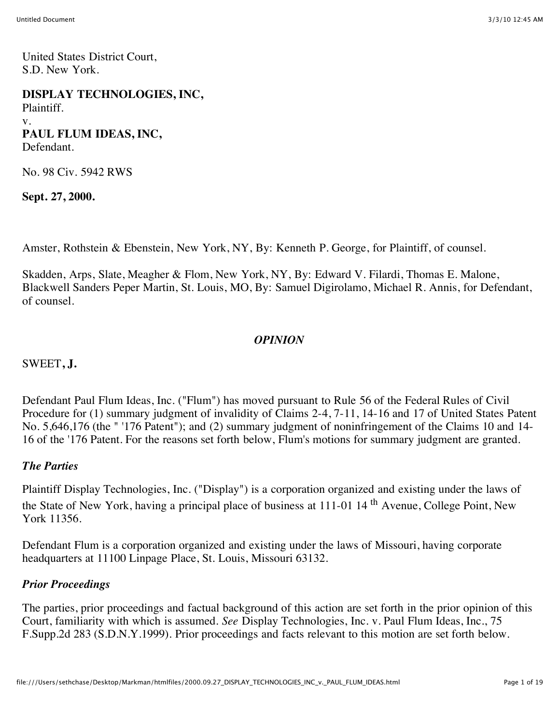United States District Court, S.D. New York.

**DISPLAY TECHNOLOGIES, INC,** Plaintiff. v. **PAUL FLUM IDEAS, INC,** Defendant.

No. 98 Civ. 5942 RWS

**Sept. 27, 2000.**

Amster, Rothstein & Ebenstein, New York, NY, By: Kenneth P. George, for Plaintiff, of counsel.

Skadden, Arps, Slate, Meagher & Flom, New York, NY, By: Edward V. Filardi, Thomas E. Malone, Blackwell Sanders Peper Martin, St. Louis, MO, By: Samuel Digirolamo, Michael R. Annis, for Defendant, of counsel.

## *OPINION*

SWEET**, J.**

Defendant Paul Flum Ideas, Inc. ("Flum") has moved pursuant to Rule 56 of the Federal Rules of Civil Procedure for (1) summary judgment of invalidity of Claims 2-4, 7-11, 14-16 and 17 of United States Patent No. 5,646,176 (the " '176 Patent"); and (2) summary judgment of noninfringement of the Claims 10 and 14- 16 of the '176 Patent. For the reasons set forth below, Flum's motions for summary judgment are granted.

#### *The Parties*

Plaintiff Display Technologies, Inc. ("Display") is a corporation organized and existing under the laws of the State of New York, having a principal place of business at 111-01 14<sup>th</sup> Avenue, College Point, New York 11356.

Defendant Flum is a corporation organized and existing under the laws of Missouri, having corporate headquarters at 11100 Linpage Place, St. Louis, Missouri 63132.

#### *Prior Proceedings*

The parties, prior proceedings and factual background of this action are set forth in the prior opinion of this Court, familiarity with which is assumed. *See* Display Technologies, Inc. v. Paul Flum Ideas, Inc., 75 F.Supp.2d 283 (S.D.N.Y.1999). Prior proceedings and facts relevant to this motion are set forth below.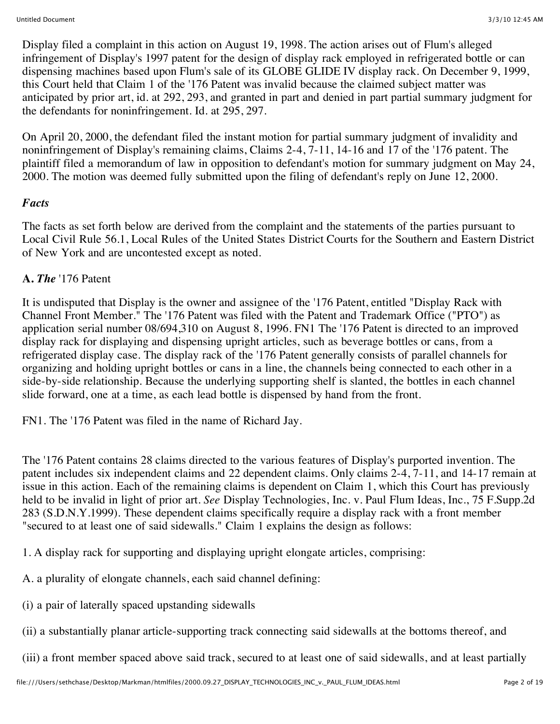Display filed a complaint in this action on August 19, 1998. The action arises out of Flum's alleged infringement of Display's 1997 patent for the design of display rack employed in refrigerated bottle or can dispensing machines based upon Flum's sale of its GLOBE GLIDE IV display rack. On December 9, 1999, this Court held that Claim 1 of the '176 Patent was invalid because the claimed subject matter was anticipated by prior art, id. at 292, 293, and granted in part and denied in part partial summary judgment for the defendants for noninfringement. Id. at 295, 297.

On April 20, 2000, the defendant filed the instant motion for partial summary judgment of invalidity and noninfringement of Display's remaining claims, Claims 2-4, 7-11, 14-16 and 17 of the '176 patent. The plaintiff filed a memorandum of law in opposition to defendant's motion for summary judgment on May 24, 2000. The motion was deemed fully submitted upon the filing of defendant's reply on June 12, 2000.

## *Facts*

The facts as set forth below are derived from the complaint and the statements of the parties pursuant to Local Civil Rule 56.1, Local Rules of the United States District Courts for the Southern and Eastern District of New York and are uncontested except as noted.

# **A.** *The* '176 Patent

It is undisputed that Display is the owner and assignee of the '176 Patent, entitled "Display Rack with Channel Front Member." The '176 Patent was filed with the Patent and Trademark Office ("PTO") as application serial number 08/694,310 on August 8, 1996. FN1 The '176 Patent is directed to an improved display rack for displaying and dispensing upright articles, such as beverage bottles or cans, from a refrigerated display case. The display rack of the '176 Patent generally consists of parallel channels for organizing and holding upright bottles or cans in a line, the channels being connected to each other in a side-by-side relationship. Because the underlying supporting shelf is slanted, the bottles in each channel slide forward, one at a time, as each lead bottle is dispensed by hand from the front.

FN1. The '176 Patent was filed in the name of Richard Jay.

The '176 Patent contains 28 claims directed to the various features of Display's purported invention. The patent includes six independent claims and 22 dependent claims. Only claims 2-4, 7-11, and 14-17 remain at issue in this action. Each of the remaining claims is dependent on Claim 1, which this Court has previously held to be invalid in light of prior art. *See* Display Technologies, Inc. v. Paul Flum Ideas, Inc., 75 F.Supp.2d 283 (S.D.N.Y.1999). These dependent claims specifically require a display rack with a front member "secured to at least one of said sidewalls." Claim 1 explains the design as follows:

1. A display rack for supporting and displaying upright elongate articles, comprising:

A. a plurality of elongate channels, each said channel defining:

(i) a pair of laterally spaced upstanding sidewalls

(ii) a substantially planar article-supporting track connecting said sidewalls at the bottoms thereof, and

(iii) a front member spaced above said track, secured to at least one of said sidewalls, and at least partially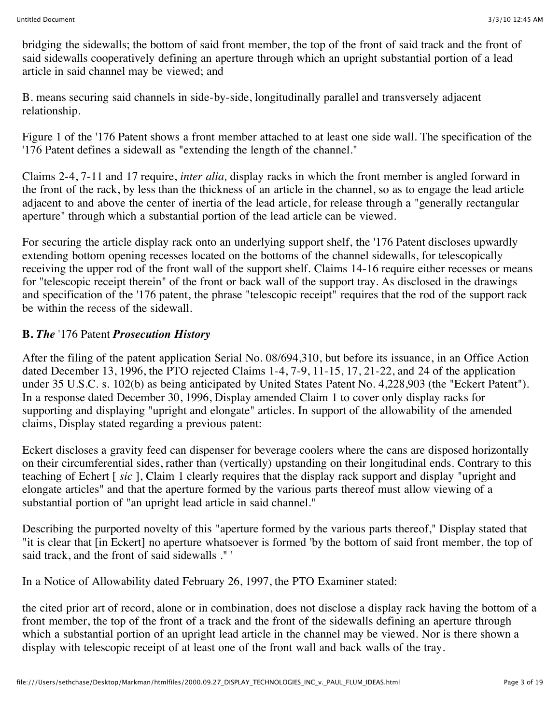bridging the sidewalls; the bottom of said front member, the top of the front of said track and the front of said sidewalls cooperatively defining an aperture through which an upright substantial portion of a lead article in said channel may be viewed; and

B. means securing said channels in side-by-side, longitudinally parallel and transversely adjacent relationship.

Figure 1 of the '176 Patent shows a front member attached to at least one side wall. The specification of the '176 Patent defines a sidewall as "extending the length of the channel."

Claims 2-4, 7-11 and 17 require, *inter alia,* display racks in which the front member is angled forward in the front of the rack, by less than the thickness of an article in the channel, so as to engage the lead article adjacent to and above the center of inertia of the lead article, for release through a "generally rectangular aperture" through which a substantial portion of the lead article can be viewed.

For securing the article display rack onto an underlying support shelf, the '176 Patent discloses upwardly extending bottom opening recesses located on the bottoms of the channel sidewalls, for telescopically receiving the upper rod of the front wall of the support shelf. Claims 14-16 require either recesses or means for "telescopic receipt therein" of the front or back wall of the support tray. As disclosed in the drawings and specification of the '176 patent, the phrase "telescopic receipt" requires that the rod of the support rack be within the recess of the sidewall.

#### **B.** *The* '176 Patent *Prosecution History*

After the filing of the patent application Serial No. 08/694,310, but before its issuance, in an Office Action dated December 13, 1996, the PTO rejected Claims 1-4, 7-9, 11-15, 17, 21-22, and 24 of the application under 35 U.S.C. s. 102(b) as being anticipated by United States Patent No. 4,228,903 (the "Eckert Patent"). In a response dated December 30, 1996, Display amended Claim 1 to cover only display racks for supporting and displaying "upright and elongate" articles. In support of the allowability of the amended claims, Display stated regarding a previous patent:

Eckert discloses a gravity feed can dispenser for beverage coolers where the cans are disposed horizontally on their circumferential sides, rather than (vertically) upstanding on their longitudinal ends. Contrary to this teaching of Echert [ *sic* ], Claim 1 clearly requires that the display rack support and display "upright and elongate articles" and that the aperture formed by the various parts thereof must allow viewing of a substantial portion of "an upright lead article in said channel."

Describing the purported novelty of this "aperture formed by the various parts thereof," Display stated that "it is clear that [in Eckert] no aperture whatsoever is formed 'by the bottom of said front member, the top of said track, and the front of said sidewalls ." '

In a Notice of Allowability dated February 26, 1997, the PTO Examiner stated:

the cited prior art of record, alone or in combination, does not disclose a display rack having the bottom of a front member, the top of the front of a track and the front of the sidewalls defining an aperture through which a substantial portion of an upright lead article in the channel may be viewed. Nor is there shown a display with telescopic receipt of at least one of the front wall and back walls of the tray.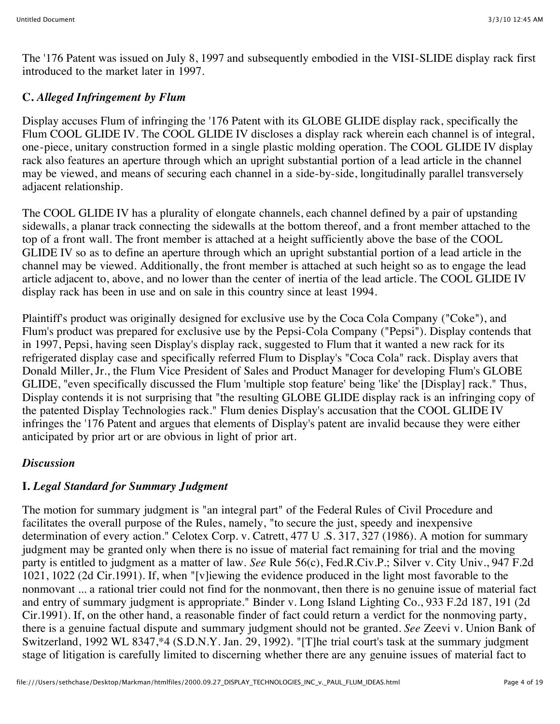The '176 Patent was issued on July 8, 1997 and subsequently embodied in the VISI-SLIDE display rack first introduced to the market later in 1997.

## **C.** *Alleged Infringement by Flum*

Display accuses Flum of infringing the '176 Patent with its GLOBE GLIDE display rack, specifically the Flum COOL GLIDE IV. The COOL GLIDE IV discloses a display rack wherein each channel is of integral, one-piece, unitary construction formed in a single plastic molding operation. The COOL GLIDE IV display rack also features an aperture through which an upright substantial portion of a lead article in the channel may be viewed, and means of securing each channel in a side-by-side, longitudinally parallel transversely adjacent relationship.

The COOL GLIDE IV has a plurality of elongate channels, each channel defined by a pair of upstanding sidewalls, a planar track connecting the sidewalls at the bottom thereof, and a front member attached to the top of a front wall. The front member is attached at a height sufficiently above the base of the COOL GLIDE IV so as to define an aperture through which an upright substantial portion of a lead article in the channel may be viewed. Additionally, the front member is attached at such height so as to engage the lead article adjacent to, above, and no lower than the center of inertia of the lead article. The COOL GLIDE IV display rack has been in use and on sale in this country since at least 1994.

Plaintiff's product was originally designed for exclusive use by the Coca Cola Company ("Coke"), and Flum's product was prepared for exclusive use by the Pepsi-Cola Company ("Pepsi"). Display contends that in 1997, Pepsi, having seen Display's display rack, suggested to Flum that it wanted a new rack for its refrigerated display case and specifically referred Flum to Display's "Coca Cola" rack. Display avers that Donald Miller, Jr., the Flum Vice President of Sales and Product Manager for developing Flum's GLOBE GLIDE, "even specifically discussed the Flum 'multiple stop feature' being 'like' the [Display] rack." Thus, Display contends it is not surprising that "the resulting GLOBE GLIDE display rack is an infringing copy of the patented Display Technologies rack." Flum denies Display's accusation that the COOL GLIDE IV infringes the '176 Patent and argues that elements of Display's patent are invalid because they were either anticipated by prior art or are obvious in light of prior art.

## *Discussion*

# **I.** *Legal Standard for Summary Judgment*

The motion for summary judgment is "an integral part" of the Federal Rules of Civil Procedure and facilitates the overall purpose of the Rules, namely, "to secure the just, speedy and inexpensive determination of every action." Celotex Corp. v. Catrett, 477 U .S. 317, 327 (1986). A motion for summary judgment may be granted only when there is no issue of material fact remaining for trial and the moving party is entitled to judgment as a matter of law. *See* Rule 56(c), Fed.R.Civ.P.; Silver v. City Univ., 947 F.2d 1021, 1022 (2d Cir.1991). If, when "[v]iewing the evidence produced in the light most favorable to the nonmovant ... a rational trier could not find for the nonmovant, then there is no genuine issue of material fact and entry of summary judgment is appropriate." Binder v. Long Island Lighting Co., 933 F.2d 187, 191 (2d Cir.1991). If, on the other hand, a reasonable finder of fact could return a verdict for the nonmoving party, there is a genuine factual dispute and summary judgment should not be granted. *See* Zeevi v. Union Bank of Switzerland, 1992 WL 8347,\*4 (S.D.N.Y. Jan. 29, 1992). "[T]he trial court's task at the summary judgment stage of litigation is carefully limited to discerning whether there are any genuine issues of material fact to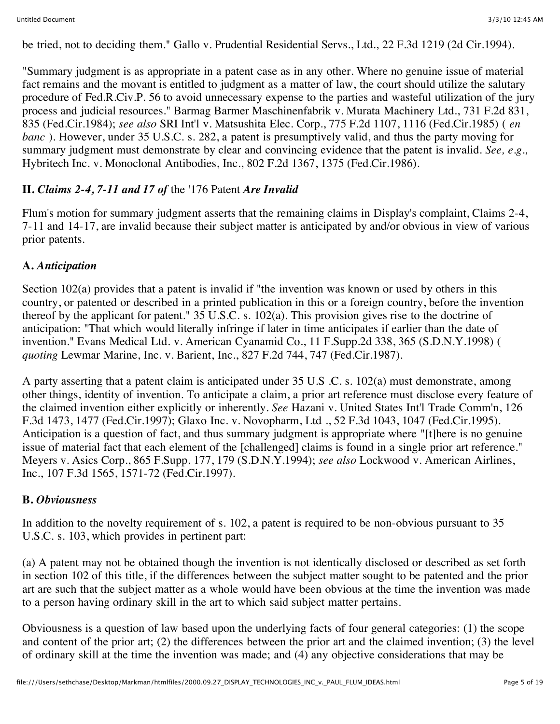be tried, not to deciding them." Gallo v. Prudential Residential Servs., Ltd., 22 F.3d 1219 (2d Cir.1994).

"Summary judgment is as appropriate in a patent case as in any other. Where no genuine issue of material fact remains and the movant is entitled to judgment as a matter of law, the court should utilize the salutary procedure of Fed.R.Civ.P. 56 to avoid unnecessary expense to the parties and wasteful utilization of the jury process and judicial resources." Barmag Barmer Maschinenfabrik v. Murata Machinery Ltd., 731 F.2d 831, 835 (Fed.Cir.1984); *see also* SRI Int'l v. Matsushita Elec. Corp., 775 F.2d 1107, 1116 (Fed.Cir.1985) ( *en banc*). However, under 35 U.S.C. s. 282, a patent is presumptively valid, and thus the party moving for summary judgment must demonstrate by clear and convincing evidence that the patent is invalid. *See, e.g.,* Hybritech Inc. v. Monoclonal Antibodies, Inc., 802 F.2d 1367, 1375 (Fed.Cir.1986).

## **II.** *Claims 2-4, 7-11 and 17 of* the '176 Patent *Are Invalid*

Flum's motion for summary judgment asserts that the remaining claims in Display's complaint, Claims 2-4, 7-11 and 14-17, are invalid because their subject matter is anticipated by and/or obvious in view of various prior patents.

## **A.** *Anticipation*

Section 102(a) provides that a patent is invalid if "the invention was known or used by others in this country, or patented or described in a printed publication in this or a foreign country, before the invention thereof by the applicant for patent." 35 U.S.C. s. 102(a). This provision gives rise to the doctrine of anticipation: "That which would literally infringe if later in time anticipates if earlier than the date of invention." Evans Medical Ltd. v. American Cyanamid Co., 11 F.Supp.2d 338, 365 (S.D.N.Y.1998) ( *quoting* Lewmar Marine, Inc. v. Barient, Inc., 827 F.2d 744, 747 (Fed.Cir.1987).

A party asserting that a patent claim is anticipated under 35 U.S .C. s. 102(a) must demonstrate, among other things, identity of invention. To anticipate a claim, a prior art reference must disclose every feature of the claimed invention either explicitly or inherently. *See* Hazani v. United States Int'l Trade Comm'n, 126 F.3d 1473, 1477 (Fed.Cir.1997); Glaxo Inc. v. Novopharm, Ltd ., 52 F.3d 1043, 1047 (Fed.Cir.1995). Anticipation is a question of fact, and thus summary judgment is appropriate where "[t]here is no genuine issue of material fact that each element of the [challenged] claims is found in a single prior art reference." Meyers v. Asics Corp., 865 F.Supp. 177, 179 (S.D.N.Y.1994); *see also* Lockwood v. American Airlines, Inc., 107 F.3d 1565, 1571-72 (Fed.Cir.1997).

#### **B.** *Obviousness*

In addition to the novelty requirement of s. 102, a patent is required to be non-obvious pursuant to 35 U.S.C. s. 103, which provides in pertinent part:

(a) A patent may not be obtained though the invention is not identically disclosed or described as set forth in section 102 of this title, if the differences between the subject matter sought to be patented and the prior art are such that the subject matter as a whole would have been obvious at the time the invention was made to a person having ordinary skill in the art to which said subject matter pertains.

Obviousness is a question of law based upon the underlying facts of four general categories: (1) the scope and content of the prior art; (2) the differences between the prior art and the claimed invention; (3) the level of ordinary skill at the time the invention was made; and (4) any objective considerations that may be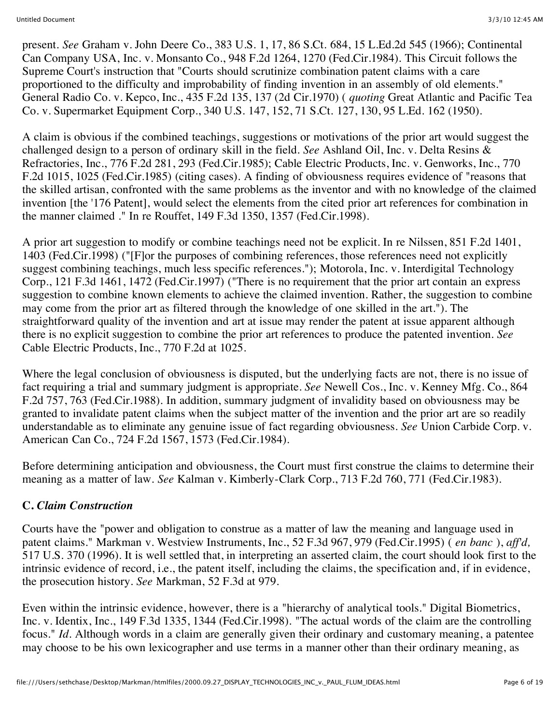present. *See* Graham v. John Deere Co., 383 U.S. 1, 17, 86 S.Ct. 684, 15 L.Ed.2d 545 (1966); Continental Can Company USA, Inc. v. Monsanto Co., 948 F.2d 1264, 1270 (Fed.Cir.1984). This Circuit follows the Supreme Court's instruction that "Courts should scrutinize combination patent claims with a care proportioned to the difficulty and improbability of finding invention in an assembly of old elements." General Radio Co. v. Kepco, Inc., 435 F.2d 135, 137 (2d Cir.1970) ( *quoting* Great Atlantic and Pacific Tea Co. v. Supermarket Equipment Corp., 340 U.S. 147, 152, 71 S.Ct. 127, 130, 95 L.Ed. 162 (1950).

A claim is obvious if the combined teachings, suggestions or motivations of the prior art would suggest the challenged design to a person of ordinary skill in the field. *See* Ashland Oil, Inc. v. Delta Resins & Refractories, Inc., 776 F.2d 281, 293 (Fed.Cir.1985); Cable Electric Products, Inc. v. Genworks, Inc., 770 F.2d 1015, 1025 (Fed.Cir.1985) (citing cases). A finding of obviousness requires evidence of "reasons that the skilled artisan, confronted with the same problems as the inventor and with no knowledge of the claimed invention [the '176 Patent], would select the elements from the cited prior art references for combination in the manner claimed ." In re Rouffet, 149 F.3d 1350, 1357 (Fed.Cir.1998).

A prior art suggestion to modify or combine teachings need not be explicit. In re Nilssen, 851 F.2d 1401, 1403 (Fed.Cir.1998) ("[F]or the purposes of combining references, those references need not explicitly suggest combining teachings, much less specific references."); Motorola, Inc. v. Interdigital Technology Corp., 121 F.3d 1461, 1472 (Fed.Cir.1997) ("There is no requirement that the prior art contain an express suggestion to combine known elements to achieve the claimed invention. Rather, the suggestion to combine may come from the prior art as filtered through the knowledge of one skilled in the art."). The straightforward quality of the invention and art at issue may render the patent at issue apparent although there is no explicit suggestion to combine the prior art references to produce the patented invention. *See* Cable Electric Products, Inc., 770 F.2d at 1025.

Where the legal conclusion of obviousness is disputed, but the underlying facts are not, there is no issue of fact requiring a trial and summary judgment is appropriate. *See* Newell Cos., Inc. v. Kenney Mfg. Co., 864 F.2d 757, 763 (Fed.Cir.1988). In addition, summary judgment of invalidity based on obviousness may be granted to invalidate patent claims when the subject matter of the invention and the prior art are so readily understandable as to eliminate any genuine issue of fact regarding obviousness. *See* Union Carbide Corp. v. American Can Co., 724 F.2d 1567, 1573 (Fed.Cir.1984).

Before determining anticipation and obviousness, the Court must first construe the claims to determine their meaning as a matter of law. *See* Kalman v. Kimberly-Clark Corp., 713 F.2d 760, 771 (Fed.Cir.1983).

## **C.** *Claim Construction*

Courts have the "power and obligation to construe as a matter of law the meaning and language used in patent claims." Markman v. Westview Instruments, Inc., 52 F.3d 967, 979 (Fed.Cir.1995) ( *en banc* ), *aff'd,* 517 U.S. 370 (1996). It is well settled that, in interpreting an asserted claim, the court should look first to the intrinsic evidence of record, i.e., the patent itself, including the claims, the specification and, if in evidence, the prosecution history. *See* Markman, 52 F.3d at 979.

Even within the intrinsic evidence, however, there is a "hierarchy of analytical tools." Digital Biometrics, Inc. v. Identix, Inc., 149 F.3d 1335, 1344 (Fed.Cir.1998). "The actual words of the claim are the controlling focus." *Id.* Although words in a claim are generally given their ordinary and customary meaning, a patentee may choose to be his own lexicographer and use terms in a manner other than their ordinary meaning, as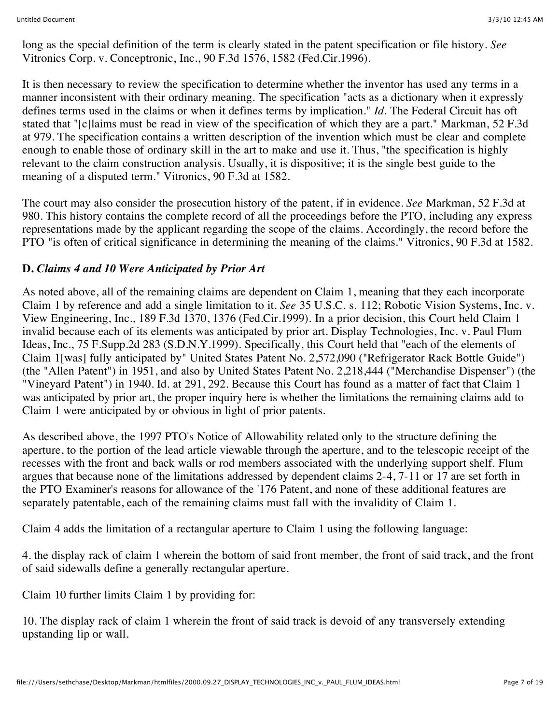long as the special definition of the term is clearly stated in the patent specification or file history. *See* Vitronics Corp. v. Conceptronic, Inc., 90 F.3d 1576, 1582 (Fed.Cir.1996).

It is then necessary to review the specification to determine whether the inventor has used any terms in a manner inconsistent with their ordinary meaning. The specification "acts as a dictionary when it expressly defines terms used in the claims or when it defines terms by implication." *Id.* The Federal Circuit has oft stated that "[c]laims must be read in view of the specification of which they are a part." Markman, 52 F.3d at 979. The specification contains a written description of the invention which must be clear and complete enough to enable those of ordinary skill in the art to make and use it. Thus, "the specification is highly relevant to the claim construction analysis. Usually, it is dispositive; it is the single best guide to the meaning of a disputed term." Vitronics, 90 F.3d at 1582.

The court may also consider the prosecution history of the patent, if in evidence. *See* Markman, 52 F.3d at 980. This history contains the complete record of all the proceedings before the PTO, including any express representations made by the applicant regarding the scope of the claims. Accordingly, the record before the PTO "is often of critical significance in determining the meaning of the claims." Vitronics, 90 F.3d at 1582.

## **D.** *Claims 4 and 10 Were Anticipated by Prior Art*

As noted above, all of the remaining claims are dependent on Claim 1, meaning that they each incorporate Claim 1 by reference and add a single limitation to it. *See* 35 U.S.C. s. 112; Robotic Vision Systems, Inc. v. View Engineering, Inc., 189 F.3d 1370, 1376 (Fed.Cir.1999). In a prior decision, this Court held Claim 1 invalid because each of its elements was anticipated by prior art. Display Technologies, Inc. v. Paul Flum Ideas, Inc., 75 F.Supp.2d 283 (S.D.N.Y.1999). Specifically, this Court held that "each of the elements of Claim 1[was] fully anticipated by" United States Patent No. 2,572,090 ("Refrigerator Rack Bottle Guide") (the "Allen Patent") in 1951, and also by United States Patent No. 2,218,444 ("Merchandise Dispenser") (the "Vineyard Patent") in 1940. Id. at 291, 292. Because this Court has found as a matter of fact that Claim 1 was anticipated by prior art, the proper inquiry here is whether the limitations the remaining claims add to Claim 1 were anticipated by or obvious in light of prior patents.

As described above, the 1997 PTO's Notice of Allowability related only to the structure defining the aperture, to the portion of the lead article viewable through the aperture, and to the telescopic receipt of the recesses with the front and back walls or rod members associated with the underlying support shelf. Flum argues that because none of the limitations addressed by dependent claims 2-4, 7-11 or 17 are set forth in the PTO Examiner's reasons for allowance of the '176 Patent, and none of these additional features are separately patentable, each of the remaining claims must fall with the invalidity of Claim 1.

Claim 4 adds the limitation of a rectangular aperture to Claim 1 using the following language:

4. the display rack of claim 1 wherein the bottom of said front member, the front of said track, and the front of said sidewalls define a generally rectangular aperture.

Claim 10 further limits Claim 1 by providing for:

10. The display rack of claim 1 wherein the front of said track is devoid of any transversely extending upstanding lip or wall.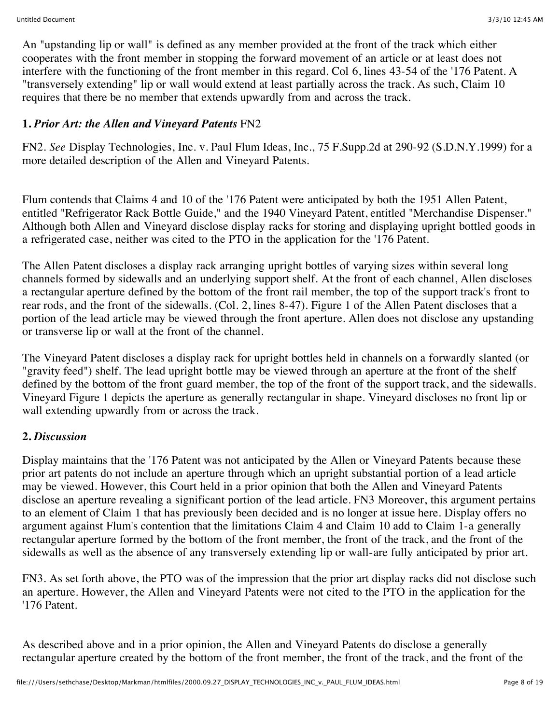An "upstanding lip or wall" is defined as any member provided at the front of the track which either cooperates with the front member in stopping the forward movement of an article or at least does not interfere with the functioning of the front member in this regard. Col 6, lines 43-54 of the '176 Patent. A "transversely extending" lip or wall would extend at least partially across the track. As such, Claim 10 requires that there be no member that extends upwardly from and across the track.

### **1.** *Prior Art: the Allen and Vineyard Patents* FN2

FN2. *See* Display Technologies, Inc. v. Paul Flum Ideas, Inc., 75 F.Supp.2d at 290-92 (S.D.N.Y.1999) for a more detailed description of the Allen and Vineyard Patents.

Flum contends that Claims 4 and 10 of the '176 Patent were anticipated by both the 1951 Allen Patent, entitled "Refrigerator Rack Bottle Guide," and the 1940 Vineyard Patent, entitled "Merchandise Dispenser." Although both Allen and Vineyard disclose display racks for storing and displaying upright bottled goods in a refrigerated case, neither was cited to the PTO in the application for the '176 Patent.

The Allen Patent discloses a display rack arranging upright bottles of varying sizes within several long channels formed by sidewalls and an underlying support shelf. At the front of each channel, Allen discloses a rectangular aperture defined by the bottom of the front rail member, the top of the support track's front to rear rods, and the front of the sidewalls. (Col. 2, lines 8-47). Figure 1 of the Allen Patent discloses that a portion of the lead article may be viewed through the front aperture. Allen does not disclose any upstanding or transverse lip or wall at the front of the channel.

The Vineyard Patent discloses a display rack for upright bottles held in channels on a forwardly slanted (or "gravity feed") shelf. The lead upright bottle may be viewed through an aperture at the front of the shelf defined by the bottom of the front guard member, the top of the front of the support track, and the sidewalls. Vineyard Figure 1 depicts the aperture as generally rectangular in shape. Vineyard discloses no front lip or wall extending upwardly from or across the track.

## **2.** *Discussion*

Display maintains that the '176 Patent was not anticipated by the Allen or Vineyard Patents because these prior art patents do not include an aperture through which an upright substantial portion of a lead article may be viewed. However, this Court held in a prior opinion that both the Allen and Vineyard Patents disclose an aperture revealing a significant portion of the lead article. FN3 Moreover, this argument pertains to an element of Claim 1 that has previously been decided and is no longer at issue here. Display offers no argument against Flum's contention that the limitations Claim 4 and Claim 10 add to Claim 1-a generally rectangular aperture formed by the bottom of the front member, the front of the track, and the front of the sidewalls as well as the absence of any transversely extending lip or wall-are fully anticipated by prior art.

FN3. As set forth above, the PTO was of the impression that the prior art display racks did not disclose such an aperture. However, the Allen and Vineyard Patents were not cited to the PTO in the application for the '176 Patent.

As described above and in a prior opinion, the Allen and Vineyard Patents do disclose a generally rectangular aperture created by the bottom of the front member, the front of the track, and the front of the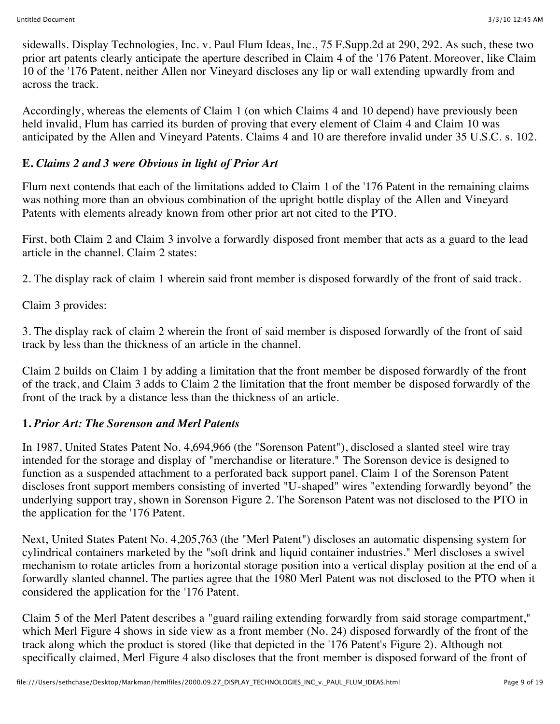sidewalls. Display Technologies, Inc. v. Paul Flum Ideas, Inc., 75 F.Supp.2d at 290, 292. As such, these two prior art patents clearly anticipate the aperture described in Claim 4 of the '176 Patent. Moreover, like Claim 10 of the '176 Patent, neither Allen nor Vineyard discloses any lip or wall extending upwardly from and across the track.

Accordingly, whereas the elements of Claim 1 (on which Claims 4 and 10 depend) have previously been held invalid, Flum has carried its burden of proving that every element of Claim 4 and Claim 10 was anticipated by the Allen and Vineyard Patents. Claims 4 and 10 are therefore invalid under 35 U.S.C. s. 102.

## **E.** *Claims 2 and 3 were Obvious in light of Prior Art*

Flum next contends that each of the limitations added to Claim 1 of the '176 Patent in the remaining claims was nothing more than an obvious combination of the upright bottle display of the Allen and Vineyard Patents with elements already known from other prior art not cited to the PTO.

First, both Claim 2 and Claim 3 involve a forwardly disposed front member that acts as a guard to the lead article in the channel. Claim 2 states:

2. The display rack of claim 1 wherein said front member is disposed forwardly of the front of said track.

Claim 3 provides:

3. The display rack of claim 2 wherein the front of said member is disposed forwardly of the front of said track by less than the thickness of an article in the channel.

Claim 2 builds on Claim 1 by adding a limitation that the front member be disposed forwardly of the front of the track, and Claim 3 adds to Claim 2 the limitation that the front member be disposed forwardly of the front of the track by a distance less than the thickness of an article.

## **1.** *Prior Art: The Sorenson and Merl Patents*

In 1987, United States Patent No. 4,694,966 (the "Sorenson Patent"), disclosed a slanted steel wire tray intended for the storage and display of "merchandise or literature." The Sorenson device is designed to function as a suspended attachment to a perforated back support panel. Claim 1 of the Sorenson Patent discloses front support members consisting of inverted "U-shaped" wires "extending forwardly beyond" the underlying support tray, shown in Sorenson Figure 2. The Sorenson Patent was not disclosed to the PTO in the application for the '176 Patent.

Next, United States Patent No. 4,205,763 (the "Merl Patent") discloses an automatic dispensing system for cylindrical containers marketed by the "soft drink and liquid container industries." Merl discloses a swivel mechanism to rotate articles from a horizontal storage position into a vertical display position at the end of a forwardly slanted channel. The parties agree that the 1980 Merl Patent was not disclosed to the PTO when it considered the application for the '176 Patent.

Claim 5 of the Merl Patent describes a "guard railing extending forwardly from said storage compartment," which Merl Figure 4 shows in side view as a front member (No. 24) disposed forwardly of the front of the track along which the product is stored (like that depicted in the '176 Patent's Figure 2). Although not specifically claimed, Merl Figure 4 also discloses that the front member is disposed forward of the front of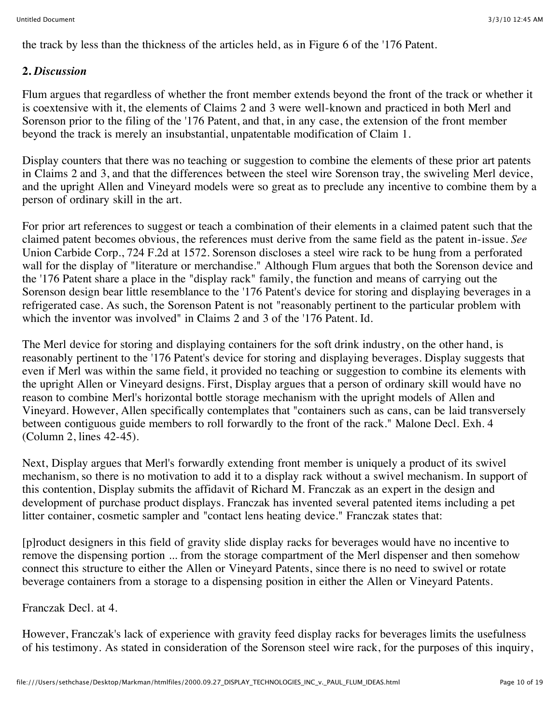the track by less than the thickness of the articles held, as in Figure 6 of the '176 Patent.

#### **2.** *Discussion*

Flum argues that regardless of whether the front member extends beyond the front of the track or whether it is coextensive with it, the elements of Claims 2 and 3 were well-known and practiced in both Merl and Sorenson prior to the filing of the '176 Patent, and that, in any case, the extension of the front member beyond the track is merely an insubstantial, unpatentable modification of Claim 1.

Display counters that there was no teaching or suggestion to combine the elements of these prior art patents in Claims 2 and 3, and that the differences between the steel wire Sorenson tray, the swiveling Merl device, and the upright Allen and Vineyard models were so great as to preclude any incentive to combine them by a person of ordinary skill in the art.

For prior art references to suggest or teach a combination of their elements in a claimed patent such that the claimed patent becomes obvious, the references must derive from the same field as the patent in-issue. *See* Union Carbide Corp., 724 F.2d at 1572. Sorenson discloses a steel wire rack to be hung from a perforated wall for the display of "literature or merchandise." Although Flum argues that both the Sorenson device and the '176 Patent share a place in the "display rack" family, the function and means of carrying out the Sorenson design bear little resemblance to the '176 Patent's device for storing and displaying beverages in a refrigerated case. As such, the Sorenson Patent is not "reasonably pertinent to the particular problem with which the inventor was involved" in Claims 2 and 3 of the '176 Patent. Id.

The Merl device for storing and displaying containers for the soft drink industry, on the other hand, is reasonably pertinent to the '176 Patent's device for storing and displaying beverages. Display suggests that even if Merl was within the same field, it provided no teaching or suggestion to combine its elements with the upright Allen or Vineyard designs. First, Display argues that a person of ordinary skill would have no reason to combine Merl's horizontal bottle storage mechanism with the upright models of Allen and Vineyard. However, Allen specifically contemplates that "containers such as cans, can be laid transversely between contiguous guide members to roll forwardly to the front of the rack." Malone Decl. Exh. 4 (Column 2, lines 42-45).

Next, Display argues that Merl's forwardly extending front member is uniquely a product of its swivel mechanism, so there is no motivation to add it to a display rack without a swivel mechanism. In support of this contention, Display submits the affidavit of Richard M. Franczak as an expert in the design and development of purchase product displays. Franczak has invented several patented items including a pet litter container, cosmetic sampler and "contact lens heating device." Franczak states that:

[p]roduct designers in this field of gravity slide display racks for beverages would have no incentive to remove the dispensing portion ... from the storage compartment of the Merl dispenser and then somehow connect this structure to either the Allen or Vineyard Patents, since there is no need to swivel or rotate beverage containers from a storage to a dispensing position in either the Allen or Vineyard Patents.

Franczak Decl. at 4.

However, Franczak's lack of experience with gravity feed display racks for beverages limits the usefulness of his testimony. As stated in consideration of the Sorenson steel wire rack, for the purposes of this inquiry,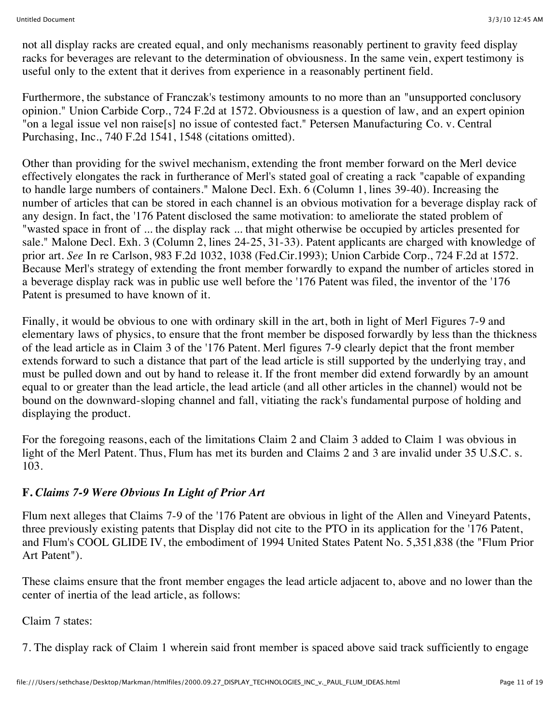not all display racks are created equal, and only mechanisms reasonably pertinent to gravity feed display racks for beverages are relevant to the determination of obviousness. In the same vein, expert testimony is useful only to the extent that it derives from experience in a reasonably pertinent field.

Furthermore, the substance of Franczak's testimony amounts to no more than an "unsupported conclusory opinion." Union Carbide Corp., 724 F.2d at 1572. Obviousness is a question of law, and an expert opinion "on a legal issue vel non raise[s] no issue of contested fact." Petersen Manufacturing Co. v. Central Purchasing, Inc., 740 F.2d 1541, 1548 (citations omitted).

Other than providing for the swivel mechanism, extending the front member forward on the Merl device effectively elongates the rack in furtherance of Merl's stated goal of creating a rack "capable of expanding to handle large numbers of containers." Malone Decl. Exh. 6 (Column 1, lines 39-40). Increasing the number of articles that can be stored in each channel is an obvious motivation for a beverage display rack of any design. In fact, the '176 Patent disclosed the same motivation: to ameliorate the stated problem of "wasted space in front of ... the display rack ... that might otherwise be occupied by articles presented for sale." Malone Decl. Exh. 3 (Column 2, lines 24-25, 31-33). Patent applicants are charged with knowledge of prior art. *See* In re Carlson, 983 F.2d 1032, 1038 (Fed.Cir.1993); Union Carbide Corp., 724 F.2d at 1572. Because Merl's strategy of extending the front member forwardly to expand the number of articles stored in a beverage display rack was in public use well before the '176 Patent was filed, the inventor of the '176 Patent is presumed to have known of it.

Finally, it would be obvious to one with ordinary skill in the art, both in light of Merl Figures 7-9 and elementary laws of physics, to ensure that the front member be disposed forwardly by less than the thickness of the lead article as in Claim 3 of the '176 Patent. Merl figures 7-9 clearly depict that the front member extends forward to such a distance that part of the lead article is still supported by the underlying tray, and must be pulled down and out by hand to release it. If the front member did extend forwardly by an amount equal to or greater than the lead article, the lead article (and all other articles in the channel) would not be bound on the downward-sloping channel and fall, vitiating the rack's fundamental purpose of holding and displaying the product.

For the foregoing reasons, each of the limitations Claim 2 and Claim 3 added to Claim 1 was obvious in light of the Merl Patent. Thus, Flum has met its burden and Claims 2 and 3 are invalid under 35 U.S.C. s. 103.

## **F.** *Claims 7-9 Were Obvious In Light of Prior Art*

Flum next alleges that Claims 7-9 of the '176 Patent are obvious in light of the Allen and Vineyard Patents, three previously existing patents that Display did not cite to the PTO in its application for the '176 Patent, and Flum's COOL GLIDE IV, the embodiment of 1994 United States Patent No. 5,351,838 (the "Flum Prior Art Patent").

These claims ensure that the front member engages the lead article adjacent to, above and no lower than the center of inertia of the lead article, as follows:

Claim 7 states:

7. The display rack of Claim 1 wherein said front member is spaced above said track sufficiently to engage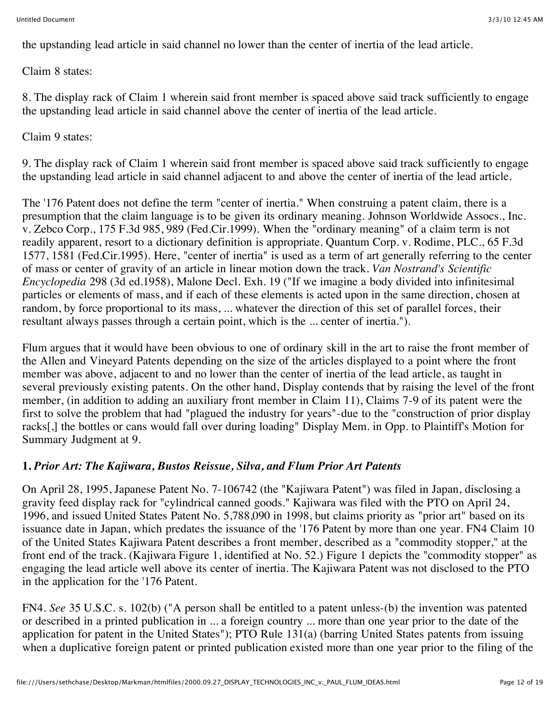the upstanding lead article in said channel no lower than the center of inertia of the lead article.

Claim 8 states:

8. The display rack of Claim 1 wherein said front member is spaced above said track sufficiently to engage the upstanding lead article in said channel above the center of inertia of the lead article.

Claim 9 states:

9. The display rack of Claim 1 wherein said front member is spaced above said track sufficiently to engage the upstanding lead article in said channel adjacent to and above the center of inertia of the lead article.

The '176 Patent does not define the term "center of inertia." When construing a patent claim, there is a presumption that the claim language is to be given its ordinary meaning. Johnson Worldwide Assocs., Inc. v. Zebco Corp., 175 F.3d 985, 989 (Fed.Cir.1999). When the "ordinary meaning" of a claim term is not readily apparent, resort to a dictionary definition is appropriate. Quantum Corp. v. Rodime, PLC., 65 F.3d 1577, 1581 (Fed.Cir.1995). Here, "center of inertia" is used as a term of art generally referring to the center of mass or center of gravity of an article in linear motion down the track. *Van Nostrand's Scientific Encyclopedia* 298 (3d ed.1958), Malone Decl. Exh. 19 ("If we imagine a body divided into infinitesimal particles or elements of mass, and if each of these elements is acted upon in the same direction, chosen at random, by force proportional to its mass, ... whatever the direction of this set of parallel forces, their resultant always passes through a certain point, which is the ... center of inertia.").

Flum argues that it would have been obvious to one of ordinary skill in the art to raise the front member of the Allen and Vineyard Patents depending on the size of the articles displayed to a point where the front member was above, adjacent to and no lower than the center of inertia of the lead article, as taught in several previously existing patents. On the other hand, Display contends that by raising the level of the front member, (in addition to adding an auxiliary front member in Claim 11), Claims 7-9 of its patent were the first to solve the problem that had "plagued the industry for years"-due to the "construction of prior display racks[,] the bottles or cans would fall over during loading" Display Mem. in Opp. to Plaintiff's Motion for Summary Judgment at 9.

## **1.** *Prior Art: The Kajiwara, Bustos Reissue, Silva, and Flum Prior Art Patents*

On April 28, 1995, Japanese Patent No. 7-106742 (the "Kajiwara Patent") was filed in Japan, disclosing a gravity feed display rack for "cylindrical canned goods." Kajiwara was filed with the PTO on April 24, 1996, and issued United States Patent No. 5,788,090 in 1998, but claims priority as "prior art" based on its issuance date in Japan, which predates the issuance of the '176 Patent by more than one year. FN4 Claim 10 of the United States Kajiwara Patent describes a front member, described as a "commodity stopper," at the front end of the track. (Kajiwara Figure 1, identified at No. 52.) Figure 1 depicts the "commodity stopper" as engaging the lead article well above its center of inertia. The Kajiwara Patent was not disclosed to the PTO in the application for the '176 Patent.

FN4. *See* 35 U.S.C. s. 102(b) ("A person shall be entitled to a patent unless-(b) the invention was patented or described in a printed publication in ... a foreign country ... more than one year prior to the date of the application for patent in the United States"); PTO Rule 131(a) (barring United States patents from issuing when a duplicative foreign patent or printed publication existed more than one year prior to the filing of the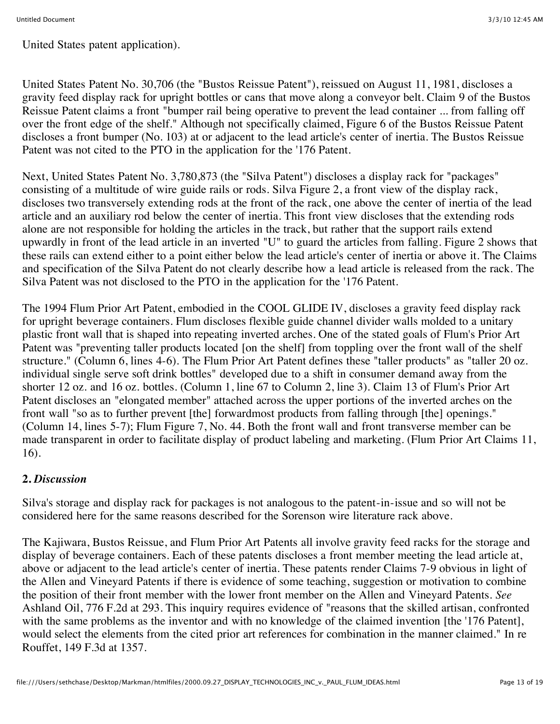United States patent application).

United States Patent No. 30,706 (the "Bustos Reissue Patent"), reissued on August 11, 1981, discloses a gravity feed display rack for upright bottles or cans that move along a conveyor belt. Claim 9 of the Bustos Reissue Patent claims a front "bumper rail being operative to prevent the lead container ... from falling off over the front edge of the shelf." Although not specifically claimed, Figure 6 of the Bustos Reissue Patent discloses a front bumper (No. 103) at or adjacent to the lead article's center of inertia. The Bustos Reissue Patent was not cited to the PTO in the application for the '176 Patent.

Next, United States Patent No. 3,780,873 (the "Silva Patent") discloses a display rack for "packages" consisting of a multitude of wire guide rails or rods. Silva Figure 2, a front view of the display rack, discloses two transversely extending rods at the front of the rack, one above the center of inertia of the lead article and an auxiliary rod below the center of inertia. This front view discloses that the extending rods alone are not responsible for holding the articles in the track, but rather that the support rails extend upwardly in front of the lead article in an inverted "U" to guard the articles from falling. Figure 2 shows that these rails can extend either to a point either below the lead article's center of inertia or above it. The Claims and specification of the Silva Patent do not clearly describe how a lead article is released from the rack. The Silva Patent was not disclosed to the PTO in the application for the '176 Patent.

The 1994 Flum Prior Art Patent, embodied in the COOL GLIDE IV, discloses a gravity feed display rack for upright beverage containers. Flum discloses flexible guide channel divider walls molded to a unitary plastic front wall that is shaped into repeating inverted arches. One of the stated goals of Flum's Prior Art Patent was "preventing taller products located [on the shelf] from toppling over the front wall of the shelf structure." (Column 6, lines 4-6). The Flum Prior Art Patent defines these "taller products" as "taller 20 oz. individual single serve soft drink bottles" developed due to a shift in consumer demand away from the shorter 12 oz. and 16 oz. bottles. (Column 1, line 67 to Column 2, line 3). Claim 13 of Flum's Prior Art Patent discloses an "elongated member" attached across the upper portions of the inverted arches on the front wall "so as to further prevent [the] forwardmost products from falling through [the] openings." (Column 14, lines 5-7); Flum Figure 7, No. 44. Both the front wall and front transverse member can be made transparent in order to facilitate display of product labeling and marketing. (Flum Prior Art Claims 11, 16).

## **2.** *Discussion*

Silva's storage and display rack for packages is not analogous to the patent-in-issue and so will not be considered here for the same reasons described for the Sorenson wire literature rack above.

The Kajiwara, Bustos Reissue, and Flum Prior Art Patents all involve gravity feed racks for the storage and display of beverage containers. Each of these patents discloses a front member meeting the lead article at, above or adjacent to the lead article's center of inertia. These patents render Claims 7-9 obvious in light of the Allen and Vineyard Patents if there is evidence of some teaching, suggestion or motivation to combine the position of their front member with the lower front member on the Allen and Vineyard Patents. *See* Ashland Oil, 776 F.2d at 293. This inquiry requires evidence of "reasons that the skilled artisan, confronted with the same problems as the inventor and with no knowledge of the claimed invention [the '176 Patent], would select the elements from the cited prior art references for combination in the manner claimed." In re Rouffet, 149 F.3d at 1357.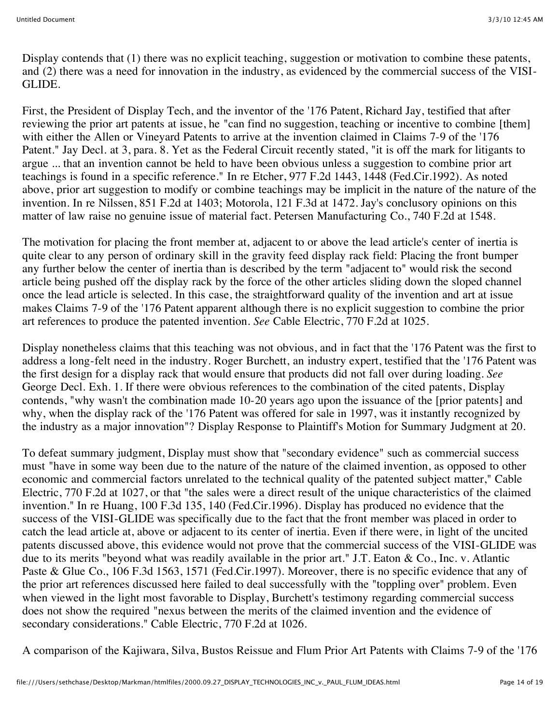Display contends that (1) there was no explicit teaching, suggestion or motivation to combine these patents, and (2) there was a need for innovation in the industry, as evidenced by the commercial success of the VISI-GLIDE.

First, the President of Display Tech, and the inventor of the '176 Patent, Richard Jay, testified that after reviewing the prior art patents at issue, he "can find no suggestion, teaching or incentive to combine [them] with either the Allen or Vineyard Patents to arrive at the invention claimed in Claims 7-9 of the '176 Patent." Jay Decl. at 3, para. 8. Yet as the Federal Circuit recently stated, "it is off the mark for litigants to argue ... that an invention cannot be held to have been obvious unless a suggestion to combine prior art teachings is found in a specific reference." In re Etcher, 977 F.2d 1443, 1448 (Fed.Cir.1992). As noted above, prior art suggestion to modify or combine teachings may be implicit in the nature of the nature of the invention. In re Nilssen, 851 F.2d at 1403; Motorola, 121 F.3d at 1472. Jay's conclusory opinions on this matter of law raise no genuine issue of material fact. Petersen Manufacturing Co., 740 F.2d at 1548.

The motivation for placing the front member at, adjacent to or above the lead article's center of inertia is quite clear to any person of ordinary skill in the gravity feed display rack field: Placing the front bumper any further below the center of inertia than is described by the term "adjacent to" would risk the second article being pushed off the display rack by the force of the other articles sliding down the sloped channel once the lead article is selected. In this case, the straightforward quality of the invention and art at issue makes Claims 7-9 of the '176 Patent apparent although there is no explicit suggestion to combine the prior art references to produce the patented invention. *See* Cable Electric, 770 F.2d at 1025.

Display nonetheless claims that this teaching was not obvious, and in fact that the '176 Patent was the first to address a long-felt need in the industry. Roger Burchett, an industry expert, testified that the '176 Patent was the first design for a display rack that would ensure that products did not fall over during loading. *See* George Decl. Exh. 1. If there were obvious references to the combination of the cited patents, Display contends, "why wasn't the combination made 10-20 years ago upon the issuance of the [prior patents] and why, when the display rack of the '176 Patent was offered for sale in 1997, was it instantly recognized by the industry as a major innovation"? Display Response to Plaintiff's Motion for Summary Judgment at 20.

To defeat summary judgment, Display must show that "secondary evidence" such as commercial success must "have in some way been due to the nature of the nature of the claimed invention, as opposed to other economic and commercial factors unrelated to the technical quality of the patented subject matter," Cable Electric, 770 F.2d at 1027, or that "the sales were a direct result of the unique characteristics of the claimed invention." In re Huang, 100 F.3d 135, 140 (Fed.Cir.1996). Display has produced no evidence that the success of the VISI-GLIDE was specifically due to the fact that the front member was placed in order to catch the lead article at, above or adjacent to its center of inertia. Even if there were, in light of the uncited patents discussed above, this evidence would not prove that the commercial success of the VISI-GLIDE was due to its merits "beyond what was readily available in the prior art." J.T. Eaton & Co., Inc. v. Atlantic Paste & Glue Co., 106 F.3d 1563, 1571 (Fed.Cir.1997). Moreover, there is no specific evidence that any of the prior art references discussed here failed to deal successfully with the "toppling over" problem. Even when viewed in the light most favorable to Display, Burchett's testimony regarding commercial success does not show the required "nexus between the merits of the claimed invention and the evidence of secondary considerations." Cable Electric, 770 F.2d at 1026.

A comparison of the Kajiwara, Silva, Bustos Reissue and Flum Prior Art Patents with Claims 7-9 of the '176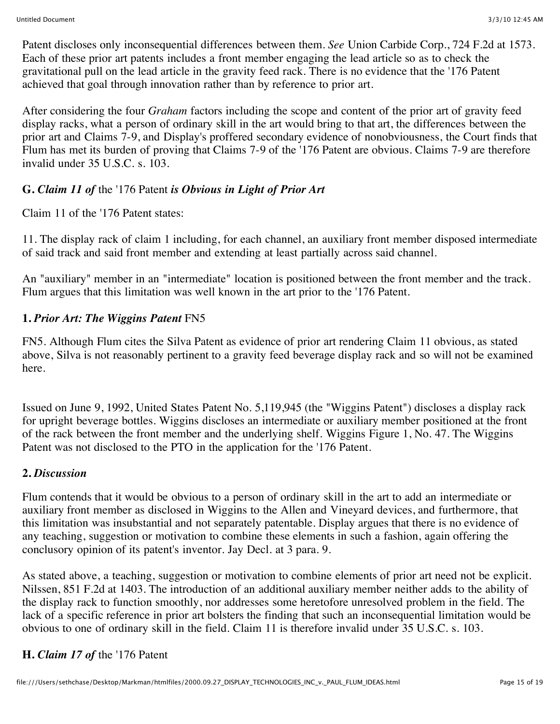Patent discloses only inconsequential differences between them. *See* Union Carbide Corp., 724 F.2d at 1573. Each of these prior art patents includes a front member engaging the lead article so as to check the gravitational pull on the lead article in the gravity feed rack. There is no evidence that the '176 Patent achieved that goal through innovation rather than by reference to prior art.

After considering the four *Graham* factors including the scope and content of the prior art of gravity feed display racks, what a person of ordinary skill in the art would bring to that art, the differences between the prior art and Claims 7-9, and Display's proffered secondary evidence of nonobviousness, the Court finds that Flum has met its burden of proving that Claims 7-9 of the '176 Patent are obvious. Claims 7-9 are therefore invalid under 35 U.S.C. s. 103.

## **G.** *Claim 11 of* the '176 Patent *is Obvious in Light of Prior Art*

Claim 11 of the '176 Patent states:

11. The display rack of claim 1 including, for each channel, an auxiliary front member disposed intermediate of said track and said front member and extending at least partially across said channel.

An "auxiliary" member in an "intermediate" location is positioned between the front member and the track. Flum argues that this limitation was well known in the art prior to the '176 Patent.

## **1.** *Prior Art: The Wiggins Patent* FN5

FN5. Although Flum cites the Silva Patent as evidence of prior art rendering Claim 11 obvious, as stated above, Silva is not reasonably pertinent to a gravity feed beverage display rack and so will not be examined here.

Issued on June 9, 1992, United States Patent No. 5,119,945 (the "Wiggins Patent") discloses a display rack for upright beverage bottles. Wiggins discloses an intermediate or auxiliary member positioned at the front of the rack between the front member and the underlying shelf. Wiggins Figure 1, No. 47. The Wiggins Patent was not disclosed to the PTO in the application for the '176 Patent.

#### **2.** *Discussion*

Flum contends that it would be obvious to a person of ordinary skill in the art to add an intermediate or auxiliary front member as disclosed in Wiggins to the Allen and Vineyard devices, and furthermore, that this limitation was insubstantial and not separately patentable. Display argues that there is no evidence of any teaching, suggestion or motivation to combine these elements in such a fashion, again offering the conclusory opinion of its patent's inventor. Jay Decl. at 3 para. 9.

As stated above, a teaching, suggestion or motivation to combine elements of prior art need not be explicit. Nilssen, 851 F.2d at 1403. The introduction of an additional auxiliary member neither adds to the ability of the display rack to function smoothly, nor addresses some heretofore unresolved problem in the field. The lack of a specific reference in prior art bolsters the finding that such an inconsequential limitation would be obvious to one of ordinary skill in the field. Claim 11 is therefore invalid under 35 U.S.C. s. 103.

## **H.** *Claim 17 of* the '176 Patent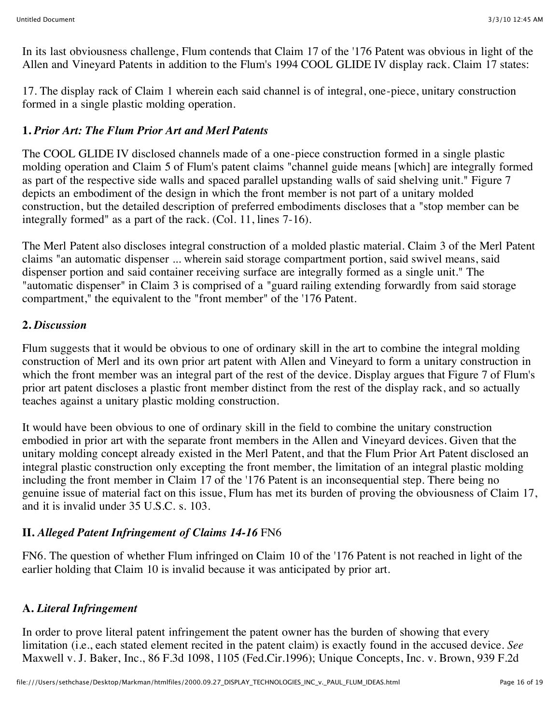In its last obviousness challenge, Flum contends that Claim 17 of the '176 Patent was obvious in light of the Allen and Vineyard Patents in addition to the Flum's 1994 COOL GLIDE IV display rack. Claim 17 states:

17. The display rack of Claim 1 wherein each said channel is of integral, one-piece, unitary construction formed in a single plastic molding operation.

## **1.** *Prior Art: The Flum Prior Art and Merl Patents*

The COOL GLIDE IV disclosed channels made of a one-piece construction formed in a single plastic molding operation and Claim 5 of Flum's patent claims "channel guide means [which] are integrally formed as part of the respective side walls and spaced parallel upstanding walls of said shelving unit." Figure 7 depicts an embodiment of the design in which the front member is not part of a unitary molded construction, but the detailed description of preferred embodiments discloses that a "stop member can be integrally formed" as a part of the rack. (Col. 11, lines 7-16).

The Merl Patent also discloses integral construction of a molded plastic material. Claim 3 of the Merl Patent claims "an automatic dispenser ... wherein said storage compartment portion, said swivel means, said dispenser portion and said container receiving surface are integrally formed as a single unit." The "automatic dispenser" in Claim 3 is comprised of a "guard railing extending forwardly from said storage compartment," the equivalent to the "front member" of the '176 Patent.

## **2.** *Discussion*

Flum suggests that it would be obvious to one of ordinary skill in the art to combine the integral molding construction of Merl and its own prior art patent with Allen and Vineyard to form a unitary construction in which the front member was an integral part of the rest of the device. Display argues that Figure 7 of Flum's prior art patent discloses a plastic front member distinct from the rest of the display rack, and so actually teaches against a unitary plastic molding construction.

It would have been obvious to one of ordinary skill in the field to combine the unitary construction embodied in prior art with the separate front members in the Allen and Vineyard devices. Given that the unitary molding concept already existed in the Merl Patent, and that the Flum Prior Art Patent disclosed an integral plastic construction only excepting the front member, the limitation of an integral plastic molding including the front member in Claim 17 of the '176 Patent is an inconsequential step. There being no genuine issue of material fact on this issue, Flum has met its burden of proving the obviousness of Claim 17, and it is invalid under 35 U.S.C. s. 103.

## **II.** *Alleged Patent Infringement of Claims 14-16* FN6

FN6. The question of whether Flum infringed on Claim 10 of the '176 Patent is not reached in light of the earlier holding that Claim 10 is invalid because it was anticipated by prior art.

# **A.** *Literal Infringement*

In order to prove literal patent infringement the patent owner has the burden of showing that every limitation (i.e., each stated element recited in the patent claim) is exactly found in the accused device. *See* Maxwell v. J. Baker, Inc., 86 F.3d 1098, 1105 (Fed.Cir.1996); Unique Concepts, Inc. v. Brown, 939 F.2d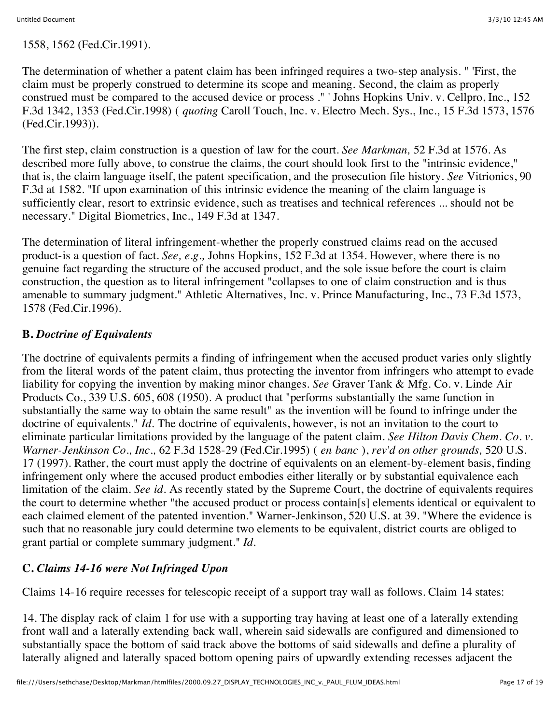1558, 1562 (Fed.Cir.1991).

The determination of whether a patent claim has been infringed requires a two-step analysis. " 'First, the claim must be properly construed to determine its scope and meaning. Second, the claim as properly construed must be compared to the accused device or process ." ' Johns Hopkins Univ. v. Cellpro, Inc., 152 F.3d 1342, 1353 (Fed.Cir.1998) ( *quoting* Caroll Touch, Inc. v. Electro Mech. Sys., Inc., 15 F.3d 1573, 1576 (Fed.Cir.1993)).

The first step, claim construction is a question of law for the court. *See Markman,* 52 F.3d at 1576. As described more fully above, to construe the claims, the court should look first to the "intrinsic evidence," that is, the claim language itself, the patent specification, and the prosecution file history. *See* Vitrionics, 90 F.3d at 1582. "If upon examination of this intrinsic evidence the meaning of the claim language is sufficiently clear, resort to extrinsic evidence, such as treatises and technical references ... should not be necessary." Digital Biometrics, Inc., 149 F.3d at 1347.

The determination of literal infringement-whether the properly construed claims read on the accused product-is a question of fact. *See, e.g.,* Johns Hopkins, 152 F.3d at 1354. However, where there is no genuine fact regarding the structure of the accused product, and the sole issue before the court is claim construction, the question as to literal infringement "collapses to one of claim construction and is thus amenable to summary judgment." Athletic Alternatives, Inc. v. Prince Manufacturing, Inc., 73 F.3d 1573, 1578 (Fed.Cir.1996).

## **B.** *Doctrine of Equivalents*

The doctrine of equivalents permits a finding of infringement when the accused product varies only slightly from the literal words of the patent claim, thus protecting the inventor from infringers who attempt to evade liability for copying the invention by making minor changes. *See* Graver Tank & Mfg. Co. v. Linde Air Products Co., 339 U.S. 605, 608 (1950). A product that "performs substantially the same function in substantially the same way to obtain the same result" as the invention will be found to infringe under the doctrine of equivalents." *Id.* The doctrine of equivalents, however, is not an invitation to the court to eliminate particular limitations provided by the language of the patent claim. *See Hilton Davis Chem. Co. v. Warner-Jenkinson Co., Inc.,* 62 F.3d 1528-29 (Fed.Cir.1995) ( *en banc* ), *rev'd on other grounds,* 520 U.S. 17 (1997). Rather, the court must apply the doctrine of equivalents on an element-by-element basis, finding infringement only where the accused product embodies either literally or by substantial equivalence each limitation of the claim. *See id.* As recently stated by the Supreme Court, the doctrine of equivalents requires the court to determine whether "the accused product or process contain[s] elements identical or equivalent to each claimed element of the patented invention." Warner-Jenkinson, 520 U.S. at 39. "Where the evidence is such that no reasonable jury could determine two elements to be equivalent, district courts are obliged to grant partial or complete summary judgment." *Id.*

# **C.** *Claims 14-16 were Not Infringed Upon*

Claims 14-16 require recesses for telescopic receipt of a support tray wall as follows. Claim 14 states:

14. The display rack of claim 1 for use with a supporting tray having at least one of a laterally extending front wall and a laterally extending back wall, wherein said sidewalls are configured and dimensioned to substantially space the bottom of said track above the bottoms of said sidewalls and define a plurality of laterally aligned and laterally spaced bottom opening pairs of upwardly extending recesses adjacent the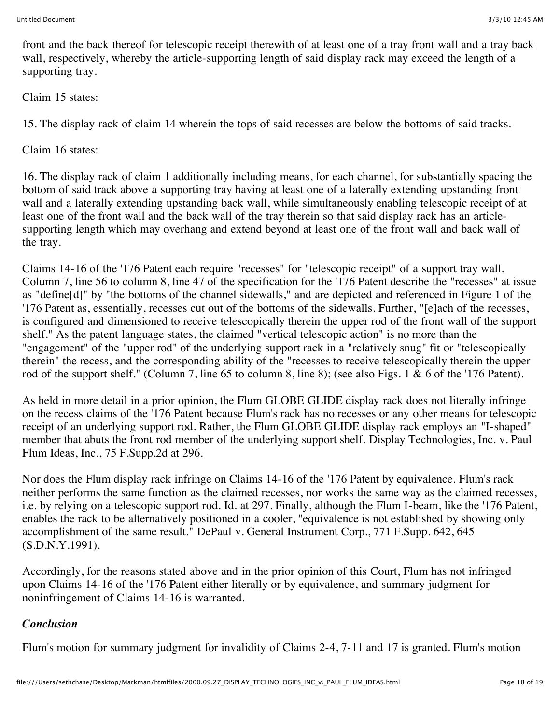front and the back thereof for telescopic receipt therewith of at least one of a tray front wall and a tray back wall, respectively, whereby the article-supporting length of said display rack may exceed the length of a supporting tray.

Claim 15 states:

15. The display rack of claim 14 wherein the tops of said recesses are below the bottoms of said tracks.

Claim 16 states:

16. The display rack of claim 1 additionally including means, for each channel, for substantially spacing the bottom of said track above a supporting tray having at least one of a laterally extending upstanding front wall and a laterally extending upstanding back wall, while simultaneously enabling telescopic receipt of at least one of the front wall and the back wall of the tray therein so that said display rack has an articlesupporting length which may overhang and extend beyond at least one of the front wall and back wall of the tray.

Claims 14-16 of the '176 Patent each require "recesses" for "telescopic receipt" of a support tray wall. Column 7, line 56 to column 8, line 47 of the specification for the '176 Patent describe the "recesses" at issue as "define[d]" by "the bottoms of the channel sidewalls," and are depicted and referenced in Figure 1 of the '176 Patent as, essentially, recesses cut out of the bottoms of the sidewalls. Further, "[e]ach of the recesses, is configured and dimensioned to receive telescopically therein the upper rod of the front wall of the support shelf." As the patent language states, the claimed "vertical telescopic action" is no more than the "engagement" of the "upper rod" of the underlying support rack in a "relatively snug" fit or "telescopically therein" the recess, and the corresponding ability of the "recesses to receive telescopically therein the upper rod of the support shelf." (Column 7, line 65 to column 8, line 8); (see also Figs. 1 & 6 of the '176 Patent).

As held in more detail in a prior opinion, the Flum GLOBE GLIDE display rack does not literally infringe on the recess claims of the '176 Patent because Flum's rack has no recesses or any other means for telescopic receipt of an underlying support rod. Rather, the Flum GLOBE GLIDE display rack employs an "I-shaped" member that abuts the front rod member of the underlying support shelf. Display Technologies, Inc. v. Paul Flum Ideas, Inc., 75 F.Supp.2d at 296.

Nor does the Flum display rack infringe on Claims 14-16 of the '176 Patent by equivalence. Flum's rack neither performs the same function as the claimed recesses, nor works the same way as the claimed recesses, i.e. by relying on a telescopic support rod. Id. at 297. Finally, although the Flum I-beam, like the '176 Patent, enables the rack to be alternatively positioned in a cooler, "equivalence is not established by showing only accomplishment of the same result." DePaul v. General Instrument Corp., 771 F.Supp. 642, 645 (S.D.N.Y.1991).

Accordingly, for the reasons stated above and in the prior opinion of this Court, Flum has not infringed upon Claims 14-16 of the '176 Patent either literally or by equivalence, and summary judgment for noninfringement of Claims 14-16 is warranted.

# *Conclusion*

Flum's motion for summary judgment for invalidity of Claims 2-4, 7-11 and 17 is granted. Flum's motion